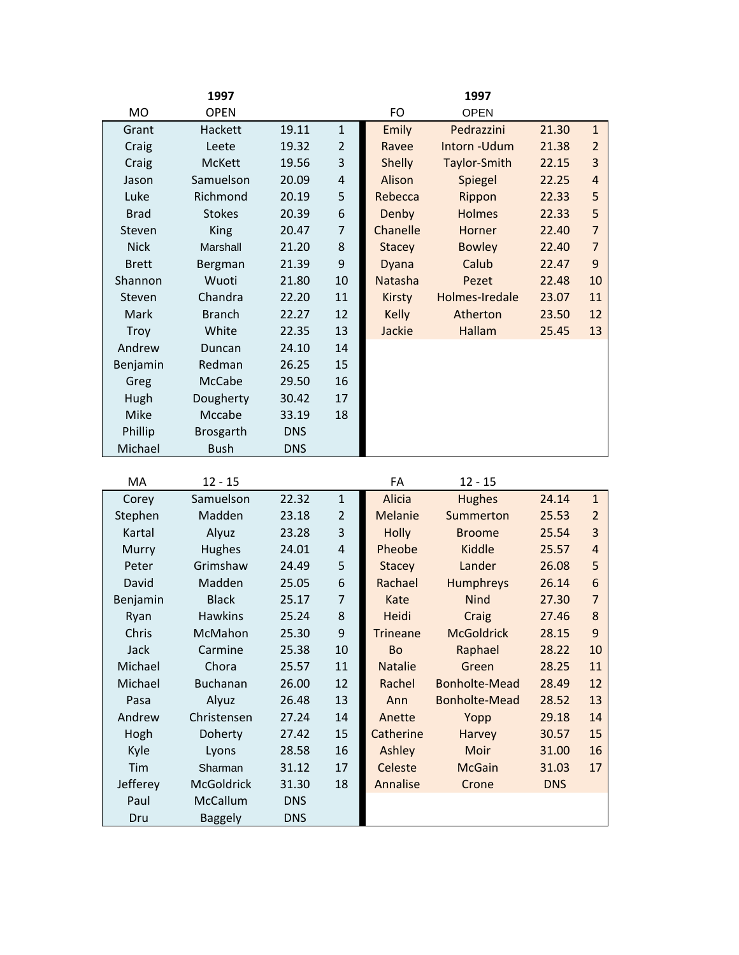|              | 1997          |            |                |               | 1997           |       |                |
|--------------|---------------|------------|----------------|---------------|----------------|-------|----------------|
| <b>MO</b>    | <b>OPEN</b>   |            |                | FO            | <b>OPEN</b>    |       |                |
| Grant        | Hackett       | 19.11      | $\mathbf{1}$   | Emily         | Pedrazzini     | 21.30 | $\mathbf{1}$   |
| Craig        | Leete         | 19.32      | $\overline{2}$ | Ravee         | Intorn-Udum    | 21.38 | $\overline{2}$ |
| Craig        | <b>McKett</b> | 19.56      | 3              | <b>Shelly</b> | Taylor-Smith   | 22.15 | 3              |
| Jason        | Samuelson     | 20.09      | $\sqrt{4}$     | Alison        | Spiegel        | 22.25 | 4              |
| Luke         | Richmond      | 20.19      | 5              | Rebecca       | Rippon         | 22.33 | 5              |
| <b>Brad</b>  | <b>Stokes</b> | 20.39      | 6              | Denby         | <b>Holmes</b>  | 22.33 | 5              |
| Steven       | <b>King</b>   | 20.47      | $\overline{7}$ | Chanelle      | Horner         | 22.40 | $\overline{7}$ |
| <b>Nick</b>  | Marshall      | 21.20      | 8              | <b>Stacey</b> | <b>Bowley</b>  | 22.40 | $\overline{7}$ |
| <b>Brett</b> | Bergman       | 21.39      | 9              | Dyana         | Calub          | 22.47 | 9              |
| Shannon      | Wuoti         | 21.80      | 10             | Natasha       | Pezet          | 22.48 | 10             |
| Steven       | Chandra       | 22.20      | 11             | <b>Kirsty</b> | Holmes-Iredale | 23.07 | 11             |
| Mark         | <b>Branch</b> | 22.27      | 12             | <b>Kelly</b>  | Atherton       | 23.50 | 12             |
| <b>Troy</b>  | White         | 22.35      | 13             | Jackie        | Hallam         | 25.45 | 13             |
| Andrew       | Duncan        | 24.10      | 14             |               |                |       |                |
| Benjamin     | Redman        | 26.25      | 15             |               |                |       |                |
| Greg         | McCabe        | 29.50      | 16             |               |                |       |                |
| Hugh         | Dougherty     | 30.42      | 17             |               |                |       |                |
| Mike         | Mccabe        | 33.19      | 18             |               |                |       |                |
| Phillip      | Brosgarth     | <b>DNS</b> |                |               |                |       |                |
| Michael      | <b>Bush</b>   | <b>DNS</b> |                |               |                |       |                |

| МA       | $12 - 15$       |            |                | FA              | $12 - 15$            |            |                |
|----------|-----------------|------------|----------------|-----------------|----------------------|------------|----------------|
| Corey    | Samuelson       | 22.32      | $\mathbf{1}$   | Alicia          | <b>Hughes</b>        | 24.14      | $\mathbf{1}$   |
| Stephen  | Madden          | 23.18      | $\overline{2}$ | <b>Melanie</b>  | Summerton            | 25.53      | $\overline{2}$ |
| Kartal   | Alyuz           | 23.28      | 3              | Holly           | <b>Broome</b>        | 25.54      | 3              |
| Murry    | <b>Hughes</b>   | 24.01      | $\sqrt{4}$     | Pheobe          | Kiddle               | 25.57      | 4              |
| Peter    | Grimshaw        | 24.49      | 5              | <b>Stacey</b>   | Lander               | 26.08      | 5              |
| David    | Madden          | 25.05      | 6              | Rachael         | Humphreys            | 26.14      | 6              |
| Benjamin | <b>Black</b>    | 25.17      | 7              | Kate            | <b>Nind</b>          | 27.30      | $\overline{7}$ |
| Ryan     | <b>Hawkins</b>  | 25.24      | 8              | Heidi           | Craig                | 27.46      | 8              |
| Chris    | McMahon         | 25.30      | 9              | <b>Trineane</b> | <b>McGoldrick</b>    | 28.15      | 9              |
| Jack     | Carmine         | 25.38      | 10             | <b>Bo</b>       | Raphael              | 28.22      | 10             |
| Michael  | Chora           | 25.57      | 11             | <b>Natalie</b>  | Green                | 28.25      | 11             |
| Michael  | <b>Buchanan</b> | 26.00      | 12             | Rachel          | Bonholte-Mead        | 28.49      | 12             |
| Pasa     | Alyuz           | 26.48      | 13             | Ann             | <b>Bonholte-Mead</b> | 28.52      | 13             |
| Andrew   | Christensen     | 27.24      | 14             | Anette          | Yopp                 | 29.18      | 14             |
| Hogh     | Doherty         | 27.42      | 15             | Catherine       | <b>Harvey</b>        | 30.57      | 15             |
| Kyle     | Lyons           | 28.58      | 16             | <b>Ashley</b>   | Moir                 | 31.00      | 16             |
| Tim      | Sharman         | 31.12      | 17             | Celeste         | <b>McGain</b>        | 31.03      | 17             |
| Jefferey | McGoldrick      | 31.30      | 18             | Annalise        | Crone                | <b>DNS</b> |                |
| Paul     | McCallum        | <b>DNS</b> |                |                 |                      |            |                |
| Dru      | <b>Baggely</b>  | <b>DNS</b> |                |                 |                      |            |                |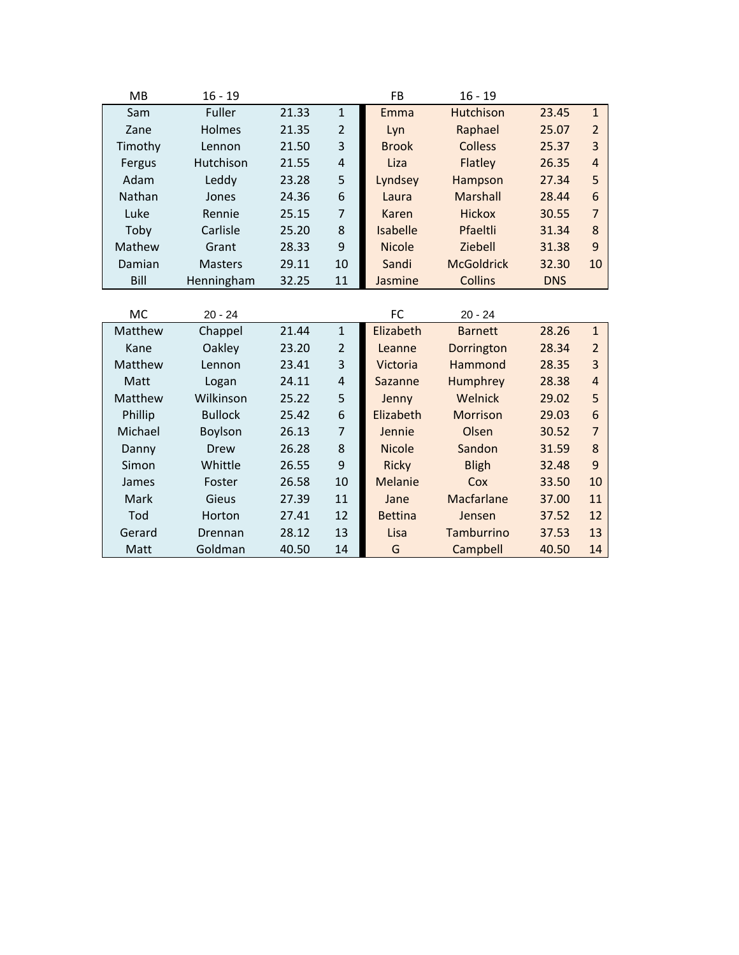| <b>MB</b> | $16 - 19$      |       |                | <b>FB</b>      | $16 - 19$         |            |                |
|-----------|----------------|-------|----------------|----------------|-------------------|------------|----------------|
| Sam       | Fuller         | 21.33 | $\mathbf{1}$   | Emma           | Hutchison         | 23.45      | $\mathbf{1}$   |
| Zane      | Holmes         | 21.35 | $\overline{2}$ | Lyn            | Raphael           | 25.07      | $\overline{2}$ |
| Timothy   | Lennon         | 21.50 | 3              | <b>Brook</b>   | <b>Colless</b>    | 25.37      | 3              |
| Fergus    | Hutchison      | 21.55 | $\overline{4}$ | Liza           | Flatley           | 26.35      | 4              |
| Adam      | Leddy          | 23.28 | 5              | Lyndsey        | Hampson           | 27.34      | 5              |
| Nathan    | Jones          | 24.36 | 6              | Laura          | Marshall          | 28.44      | 6              |
| Luke      | Rennie         | 25.15 | $\overline{7}$ | Karen          | <b>Hickox</b>     | 30.55      | $\overline{7}$ |
| Toby      | Carlisle       | 25.20 | 8              | Isabelle       | Pfaeltli          | 31.34      | 8              |
| Mathew    | Grant          | 28.33 | 9              | <b>Nicole</b>  | Ziebell           | 31.38      | 9              |
| Damian    | <b>Masters</b> | 29.11 | 10             | Sandi          | <b>McGoldrick</b> | 32.30      | 10             |
| Bill      | Henningham     | 32.25 | 11             | Jasmine        | <b>Collins</b>    | <b>DNS</b> |                |
|           |                |       |                |                |                   |            |                |
| <b>MC</b> | $20 - 24$      |       |                | FC             | $20 - 24$         |            |                |
| Matthew   | Chappel        | 21.44 | $\mathbf 1$    | Elizabeth      | <b>Barnett</b>    | 28.26      | $\mathbf{1}$   |
| Kane      | Oakley         | 23.20 | $\overline{2}$ | Leanne         | Dorrington        | 28.34      | $\overline{2}$ |
| Matthew   | Lennon         | 23.41 | 3              | Victoria       | Hammond           | 28.35      | 3              |
| Matt      | Logan          | 24.11 | 4              | Sazanne        | Humphrey          | 28.38      | $\overline{4}$ |
| Matthew   | Wilkinson      | 25.22 | 5              | Jenny          | Welnick           | 29.02      | 5              |
| Phillip   | <b>Bullock</b> | 25.42 | 6              | Elizabeth      | <b>Morrison</b>   | 29.03      | 6              |
| Michael   | Boylson        | 26.13 | $\overline{7}$ | Jennie         | Olsen             | 30.52      | $\overline{7}$ |
| Danny     | Drew           | 26.28 | 8              | <b>Nicole</b>  | Sandon            | 31.59      | 8              |
| Simon     | Whittle        | 26.55 | 9              | <b>Ricky</b>   | <b>Bligh</b>      | 32.48      | 9              |
| James     | Foster         | 26.58 | 10             | <b>Melanie</b> | Cox               | 33.50      | 10             |
| Mark      | Gieus          | 27.39 | 11             | Jane           | Macfarlane        | 37.00      | 11             |
| Tod       | Horton         | 27.41 | 12             | <b>Bettina</b> | Jensen            | 37.52      | 12             |
| Gerard    | Drennan        | 28.12 | 13             | Lisa           | Tamburrino        | 37.53      | 13             |
| Matt      | Goldman        | 40.50 | 14             | G              | Campbell          | 40.50      | 14             |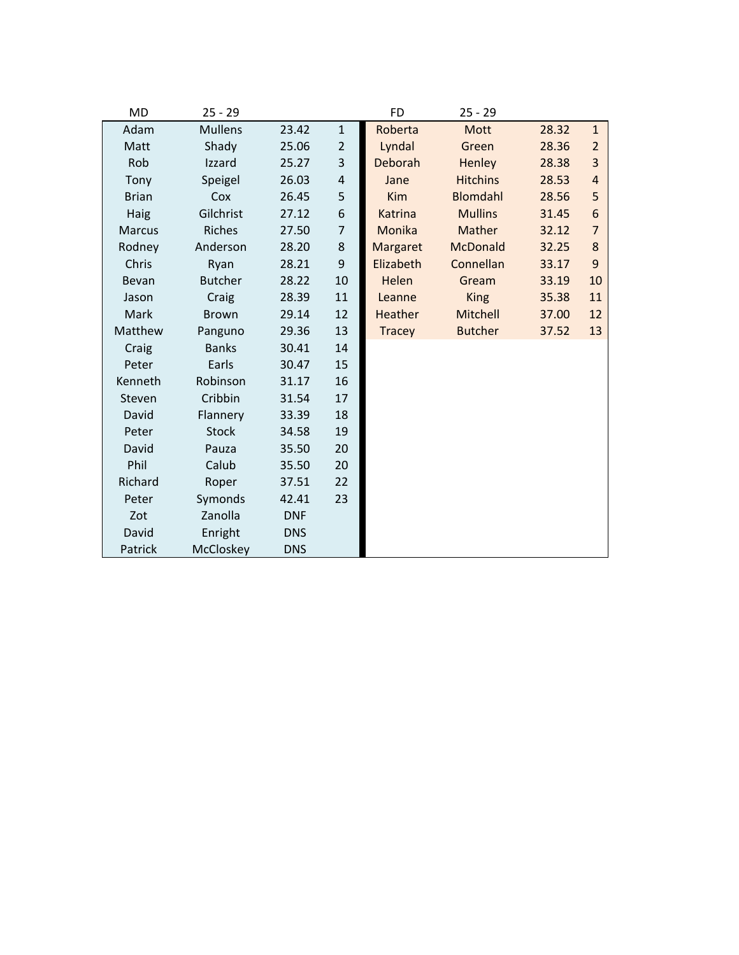| <b>MD</b>     | $25 - 29$      |            |                  | <b>FD</b>       | $25 - 29$       |       |                |
|---------------|----------------|------------|------------------|-----------------|-----------------|-------|----------------|
| Adam          | <b>Mullens</b> | 23.42      | $\mathbf{1}$     | Roberta         | Mott            | 28.32 | $\mathbf{1}$   |
| Matt          | Shady          | 25.06      | $\overline{2}$   | Lyndal          | Green           | 28.36 | $\overline{2}$ |
| Rob           | Izzard         | 25.27      | 3                | Deborah         | Henley          | 28.38 | 3              |
| Tony          | Speigel        | 26.03      | $\pmb{4}$        | Jane            | <b>Hitchins</b> | 28.53 | $\overline{4}$ |
| <b>Brian</b>  | Cox            | 26.45      | 5                | <b>Kim</b>      | <b>Blomdahl</b> | 28.56 | 5              |
| Haig          | Gilchrist      | 27.12      | 6                | Katrina         | <b>Mullins</b>  | 31.45 | 6              |
| <b>Marcus</b> | <b>Riches</b>  | 27.50      | $\overline{7}$   | Monika          | Mather          | 32.12 | $\overline{7}$ |
| Rodney        | Anderson       | 28.20      | 8                | <b>Margaret</b> | <b>McDonald</b> | 32.25 | 8              |
| Chris         | Ryan           | 28.21      | $\boldsymbol{9}$ | Elizabeth       | Connellan       | 33.17 | 9              |
| Bevan         | <b>Butcher</b> | 28.22      | 10               | Helen           | Gream           | 33.19 | 10             |
| Jason         | Craig          | 28.39      | 11               | Leanne          | <b>King</b>     | 35.38 | 11             |
| Mark          | <b>Brown</b>   | 29.14      | 12               | <b>Heather</b>  | Mitchell        | 37.00 | 12             |
| Matthew       | Panguno        | 29.36      | 13               | <b>Tracey</b>   | <b>Butcher</b>  | 37.52 | 13             |
| Craig         | <b>Banks</b>   | 30.41      | 14               |                 |                 |       |                |
| Peter         | Earls          | 30.47      | 15               |                 |                 |       |                |
| Kenneth       | Robinson       | 31.17      | 16               |                 |                 |       |                |
| Steven        | Cribbin        | 31.54      | 17               |                 |                 |       |                |
| David         | Flannery       | 33.39      | 18               |                 |                 |       |                |
| Peter         | <b>Stock</b>   | 34.58      | 19               |                 |                 |       |                |
| David         | Pauza          | 35.50      | 20               |                 |                 |       |                |
| Phil          | Calub          | 35.50      | 20               |                 |                 |       |                |
| Richard       | Roper          | 37.51      | 22               |                 |                 |       |                |
| Peter         | Symonds        | 42.41      | 23               |                 |                 |       |                |
| Zot           | Zanolla        | <b>DNF</b> |                  |                 |                 |       |                |
| David         | Enright        | <b>DNS</b> |                  |                 |                 |       |                |
| Patrick       | McCloskey      | <b>DNS</b> |                  |                 |                 |       |                |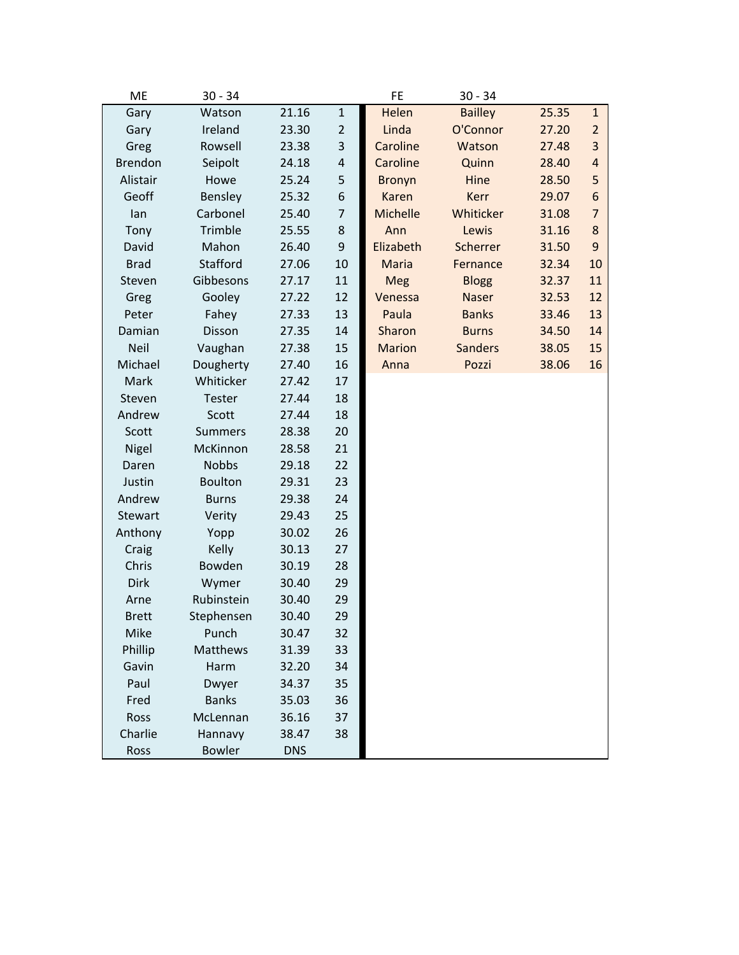| ME             | $30 - 34$      |            |                | <b>FE</b>       | $30 - 34$      |       |                |
|----------------|----------------|------------|----------------|-----------------|----------------|-------|----------------|
| Gary           | Watson         | 21.16      | $\mathbf 1$    | Helen           | <b>Bailley</b> | 25.35 | $\mathbf{1}$   |
| Gary           | Ireland        | 23.30      | $\overline{2}$ | Linda           | O'Connor       | 27.20 | $\overline{2}$ |
| Greg           | Rowsell        | 23.38      | 3              | Caroline        | Watson         | 27.48 | $\overline{3}$ |
| <b>Brendon</b> | Seipolt        | 24.18      | 4              | Caroline        | Quinn          | 28.40 | $\overline{4}$ |
| Alistair       | Howe           | 25.24      | 5              | <b>Bronyn</b>   | Hine           | 28.50 | 5              |
| Geoff          | Bensley        | 25.32      | 6              | <b>Karen</b>    | Kerr           | 29.07 | 6              |
| lan            | Carbonel       | 25.40      | 7              | <b>Michelle</b> | Whiticker      | 31.08 | $\overline{7}$ |
| Tony           | Trimble        | 25.55      | 8              | Ann             | Lewis          | 31.16 | 8              |
| David          | Mahon          | 26.40      | 9              | Elizabeth       | Scherrer       | 31.50 | 9              |
| <b>Brad</b>    | Stafford       | 27.06      | 10             | <b>Maria</b>    | Fernance       | 32.34 | 10             |
| Steven         | Gibbesons      | 27.17      | 11             | Meg             | <b>Blogg</b>   | 32.37 | 11             |
| Greg           | Gooley         | 27.22      | 12             | Venessa         | Naser          | 32.53 | 12             |
| Peter          | Fahey          | 27.33      | 13             | Paula           | <b>Banks</b>   | 33.46 | 13             |
| Damian         | Disson         | 27.35      | 14             | Sharon          | <b>Burns</b>   | 34.50 | 14             |
| <b>Neil</b>    | Vaughan        | 27.38      | 15             | <b>Marion</b>   | <b>Sanders</b> | 38.05 | 15             |
| Michael        | Dougherty      | 27.40      | 16             | Anna            | Pozzi          | 38.06 | 16             |
| Mark           | Whiticker      | 27.42      | 17             |                 |                |       |                |
| Steven         | Tester         | 27.44      | 18             |                 |                |       |                |
| Andrew         | Scott          | 27.44      | 18             |                 |                |       |                |
| Scott          | <b>Summers</b> | 28.38      | 20             |                 |                |       |                |
| Nigel          | McKinnon       | 28.58      | 21             |                 |                |       |                |
| Daren          | <b>Nobbs</b>   | 29.18      | 22             |                 |                |       |                |
| Justin         | <b>Boulton</b> | 29.31      | 23             |                 |                |       |                |
| Andrew         | <b>Burns</b>   | 29.38      | 24             |                 |                |       |                |
| Stewart        | Verity         | 29.43      | 25             |                 |                |       |                |
| Anthony        | Yopp           | 30.02      | 26             |                 |                |       |                |
| Craig          | Kelly          | 30.13      | 27             |                 |                |       |                |
| Chris          | Bowden         | 30.19      | 28             |                 |                |       |                |
| Dirk           | Wymer          | 30.40      | 29             |                 |                |       |                |
| Arne           | Rubinstein     | 30.40      | 29             |                 |                |       |                |
| <b>Brett</b>   | Stephensen     | 30.40      | 29             |                 |                |       |                |
| Mike           | Punch          | 30.47      | 32             |                 |                |       |                |
| Phillip        | Matthews       | 31.39      | 33             |                 |                |       |                |
| Gavin          | Harm           | 32.20      | 34             |                 |                |       |                |
| Paul           | Dwyer          | 34.37      | 35             |                 |                |       |                |
| Fred           | <b>Banks</b>   | 35.03      | 36             |                 |                |       |                |
| Ross           | McLennan       | 36.16      | 37             |                 |                |       |                |
| Charlie        | Hannavy        | 38.47      | 38             |                 |                |       |                |
| Ross           | <b>Bowler</b>  | <b>DNS</b> |                |                 |                |       |                |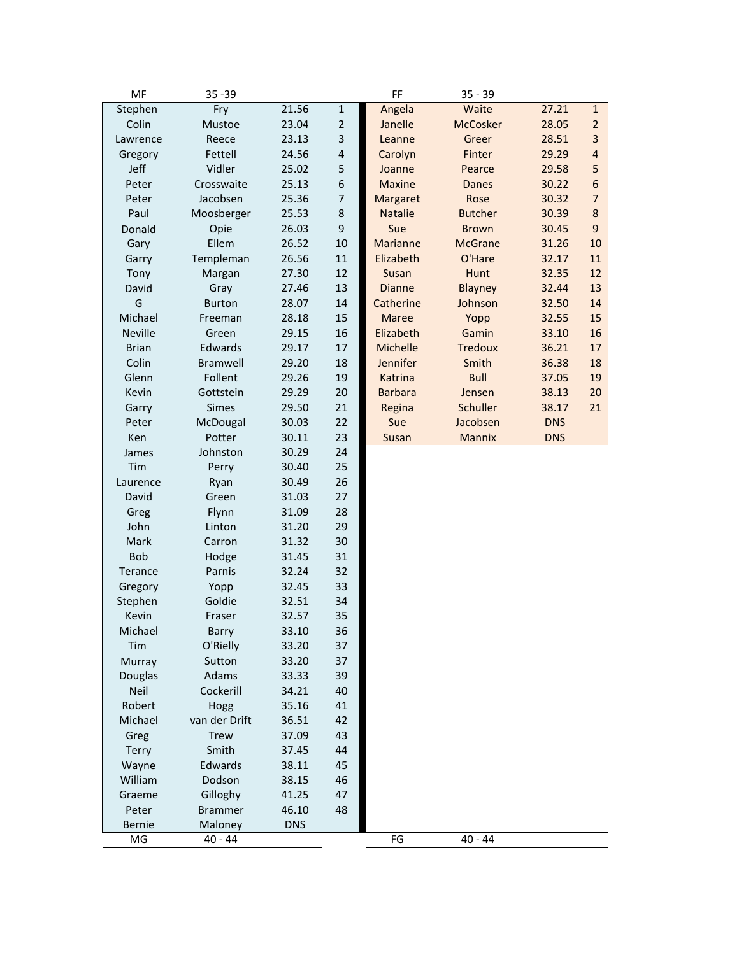| MF             | $35 - 39$      |            |                | FF             | $35 - 39$       |            |                |
|----------------|----------------|------------|----------------|----------------|-----------------|------------|----------------|
| Stephen        | Fry            | 21.56      | $\mathbf 1$    | Angela         | Waite           | 27.21      | $\mathbf{1}$   |
| Colin          | Mustoe         | 23.04      | $\overline{c}$ | Janelle        | <b>McCosker</b> | 28.05      | $\overline{2}$ |
| Lawrence       | Reece          | 23.13      | 3              | Leanne         | Greer           | 28.51      | 3              |
| Gregory        | Fettell        | 24.56      | 4              | Carolyn        | Finter          | 29.29      | $\overline{4}$ |
| Jeff           | Vidler         | 25.02      | 5              | Joanne         | Pearce          | 29.58      | 5              |
| Peter          | Crosswaite     | 25.13      | 6              | <b>Maxine</b>  | <b>Danes</b>    | 30.22      | 6              |
| Peter          | Jacobsen       | 25.36      | 7              | Margaret       | Rose            | 30.32      | $\overline{7}$ |
| Paul           | Moosberger     | 25.53      | 8              | <b>Natalie</b> | <b>Butcher</b>  | 30.39      | 8              |
| Donald         | Opie           | 26.03      | 9              | Sue            | <b>Brown</b>    | 30.45      | 9              |
| Gary           | Ellem          | 26.52      | 10             | Marianne       | <b>McGrane</b>  | 31.26      | 10             |
| Garry          | Templeman      | 26.56      | 11             | Elizabeth      | O'Hare          | 32.17      | 11             |
| Tony           | Margan         | 27.30      | 12             | Susan          | Hunt            | 32.35      | 12             |
| David          | Gray           | 27.46      | 13             | <b>Dianne</b>  | <b>Blayney</b>  | 32.44      | 13             |
| G              | <b>Burton</b>  | 28.07      | 14             | Catherine      | Johnson         | 32.50      | 14             |
| Michael        | Freeman        | 28.18      | 15             | <b>Maree</b>   | Yopp            | 32.55      | 15             |
| <b>Neville</b> | Green          | 29.15      | 16             | Elizabeth      | Gamin           | 33.10      | 16             |
| <b>Brian</b>   | Edwards        | 29.17      | 17             | Michelle       | <b>Tredoux</b>  | 36.21      | 17             |
| Colin          | Bramwell       | 29.20      | 18             | Jennifer       | Smith           | 36.38      | 18             |
| Glenn          | Follent        | 29.26      | 19             | Katrina        | <b>Bull</b>     | 37.05      | 19             |
| Kevin          | Gottstein      | 29.29      | 20             | <b>Barbara</b> | Jensen          | 38.13      | 20             |
| Garry          | <b>Simes</b>   | 29.50      | 21             | Regina         | Schuller        | 38.17      | 21             |
| Peter          | McDougal       | 30.03      | 22             | Sue            | Jacobsen        | <b>DNS</b> |                |
| Ken            | Potter         | 30.11      | 23             | Susan          | Mannix          | <b>DNS</b> |                |
| James          | Johnston       | 30.29      | 24             |                |                 |            |                |
| Tim            | Perry          | 30.40      | 25             |                |                 |            |                |
| Laurence       | Ryan           | 30.49      | 26             |                |                 |            |                |
| David          | Green          | 31.03      | 27             |                |                 |            |                |
| Greg           | Flynn          | 31.09      | 28             |                |                 |            |                |
| John           | Linton         | 31.20      | 29             |                |                 |            |                |
| Mark           | Carron         | 31.32      | 30             |                |                 |            |                |
| <b>Bob</b>     | Hodge          | 31.45      | 31             |                |                 |            |                |
| Terance        | Parnis         | 32.24      | 32             |                |                 |            |                |
| Gregory        | Yopp           | 32.45      | 33             |                |                 |            |                |
| Stephen        | Goldie         | 32.51      | 34             |                |                 |            |                |
| Kevin          | Fraser         | 32.57      | 35             |                |                 |            |                |
| Michael        | Barry          | 33.10      | 36             |                |                 |            |                |
| Tim            | O'Rielly       | 33.20      | 37             |                |                 |            |                |
| Murray         | Sutton         | 33.20      | 37             |                |                 |            |                |
| Douglas        | Adams          | 33.33      | 39             |                |                 |            |                |
| Neil           | Cockerill      | 34.21      | 40             |                |                 |            |                |
| Robert         | Hogg           | 35.16      | 41             |                |                 |            |                |
| Michael        | van der Drift  | 36.51      | 42             |                |                 |            |                |
| Greg           | <b>Trew</b>    | 37.09      | 43             |                |                 |            |                |
| Terry          | Smith          | 37.45      | 44             |                |                 |            |                |
| Wayne          | Edwards        | 38.11      | 45             |                |                 |            |                |
| William        | Dodson         | 38.15      | 46             |                |                 |            |                |
| Graeme         | Gilloghy       | 41.25      | 47             |                |                 |            |                |
| Peter          | <b>Brammer</b> | 46.10      | 48             |                |                 |            |                |
| Bernie         | Maloney        | <b>DNS</b> |                |                |                 |            |                |
| MG             | $40 - 44$      |            |                | FG             | $40 - 44$       |            |                |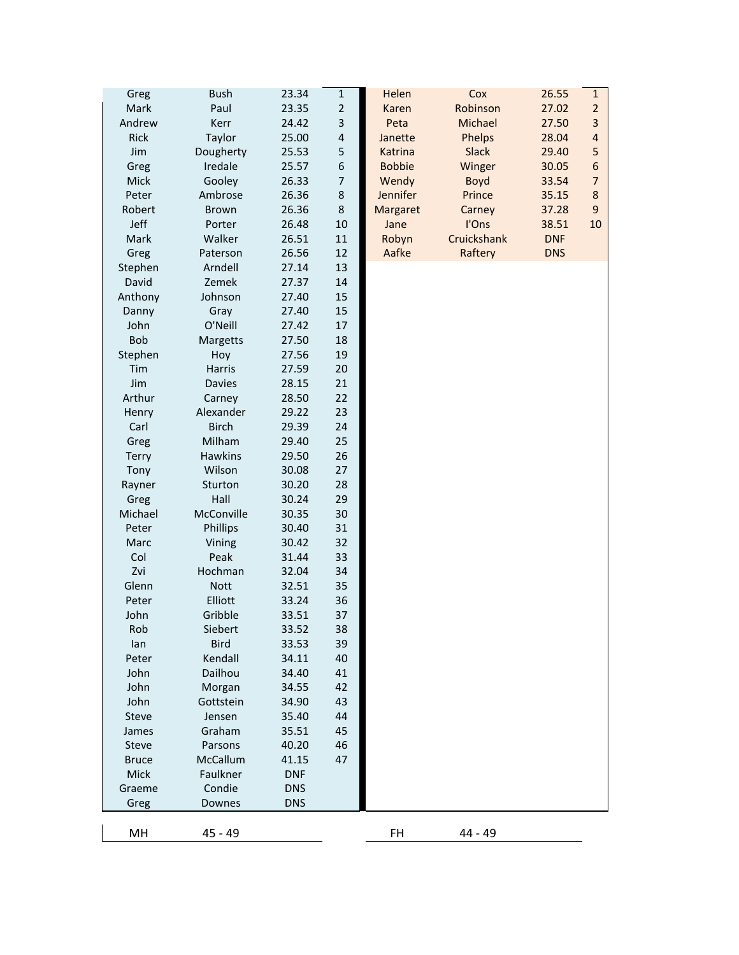| Greg         | <b>Bush</b>            | 23.34          | $\mathbf{1}$   | Helen           | Cox          | 26.55      | $\mathbf{1}$   |
|--------------|------------------------|----------------|----------------|-----------------|--------------|------------|----------------|
| Mark         | Paul                   | 23.35          | $\overline{2}$ | Karen           | Robinson     | 27.02      | $\overline{2}$ |
| Andrew       | Kerr                   | 24.42          | 3              | Peta            | Michael      | 27.50      | $\overline{3}$ |
| Rick         | Taylor                 | 25.00          | $\overline{4}$ | Janette         | Phelps       | 28.04      | $\overline{4}$ |
| Jim          | Dougherty              | 25.53          | 5              | Katrina         | <b>Slack</b> | 29.40      | 5              |
| Greg         | Iredale                | 25.57          | 6              | <b>Bobbie</b>   | Winger       | 30.05      | 6              |
| Mick         | Gooley                 | 26.33          | $\overline{7}$ | Wendy           | <b>Boyd</b>  | 33.54      | $\overline{7}$ |
| Peter        | Ambrose                | 26.36          | $\bf 8$        | <b>Jennifer</b> | Prince       | 35.15      | 8              |
| Robert       | <b>Brown</b>           | 26.36          | 8              | Margaret        | Carney       | 37.28      | 9              |
| Jeff         | Porter                 | 26.48          | 10             | Jane            | I'Ons        | 38.51      | 10             |
| Mark         | Walker                 | 26.51          | 11             | Robyn           | Cruickshank  | <b>DNF</b> |                |
| Greg         | Paterson               | 26.56          | 12             | Aafke           | Raftery      | <b>DNS</b> |                |
| Stephen      | Arndell                | 27.14          | 13             |                 |              |            |                |
| David        | Zemek                  | 27.37          | 14             |                 |              |            |                |
| Anthony      | Johnson                | 27.40          | 15             |                 |              |            |                |
| Danny        | Gray                   | 27.40          | 15             |                 |              |            |                |
| John         | O'Neill                | 27.42          | 17             |                 |              |            |                |
| <b>Bob</b>   | Margetts               | 27.50          | 18             |                 |              |            |                |
| Stephen      | Hoy                    | 27.56          | 19             |                 |              |            |                |
| Tim          | <b>Harris</b>          | 27.59          | 20             |                 |              |            |                |
| Jim          | <b>Davies</b>          | 28.15          | 21             |                 |              |            |                |
| Arthur       | Carney                 | 28.50          | 22             |                 |              |            |                |
| Henry        | Alexander              | 29.22          | 23             |                 |              |            |                |
| Carl         | <b>Birch</b>           | 29.39          | 24             |                 |              |            |                |
| Greg         | Milham                 | 29.40          | 25             |                 |              |            |                |
| <b>Terry</b> | Hawkins                | 29.50          | 26             |                 |              |            |                |
| Tony         | Wilson                 | 30.08          | 27             |                 |              |            |                |
| Rayner       | Sturton                | 30.20          | 28             |                 |              |            |                |
| Greg         | Hall                   | 30.24          | 29             |                 |              |            |                |
| Michael      | McConville             | 30.35          | 30             |                 |              |            |                |
| Peter        | Phillips               | 30.40          | 31             |                 |              |            |                |
| Marc         | Vining                 | 30.42          | 32             |                 |              |            |                |
| Col          | Peak                   | 31.44          | 33             |                 |              |            |                |
| Zvi<br>Glenn | Hochman                | 32.04          | 34             |                 |              |            |                |
| Peter        | <b>Nott</b><br>Elliott | 32.51<br>33.24 | 35<br>36       |                 |              |            |                |
| John         | Gribble                | 33.51          | 37             |                 |              |            |                |
| Rob          | Siebert                | 33.52          | 38             |                 |              |            |                |
| lan          | <b>Bird</b>            | 33.53          | 39             |                 |              |            |                |
| Peter        | Kendall                | 34.11          | 40             |                 |              |            |                |
| John         | Dailhou                | 34.40          | 41             |                 |              |            |                |
| John         | Morgan                 | 34.55          | 42             |                 |              |            |                |
| John         | Gottstein              | 34.90          | 43             |                 |              |            |                |
| Steve        | Jensen                 | 35.40          | 44             |                 |              |            |                |
| James        | Graham                 | 35.51          | 45             |                 |              |            |                |
| Steve        | Parsons                | 40.20          | 46             |                 |              |            |                |
| <b>Bruce</b> | McCallum               | 41.15          | 47             |                 |              |            |                |
| Mick         | Faulkner               | <b>DNF</b>     |                |                 |              |            |                |
| Graeme       | Condie                 | <b>DNS</b>     |                |                 |              |            |                |
| Greg         | Downes                 | <b>DNS</b>     |                |                 |              |            |                |
|              |                        |                |                |                 |              |            |                |
| MH           | 45 - 49                |                |                | <b>FH</b>       | 44 - 49      |            |                |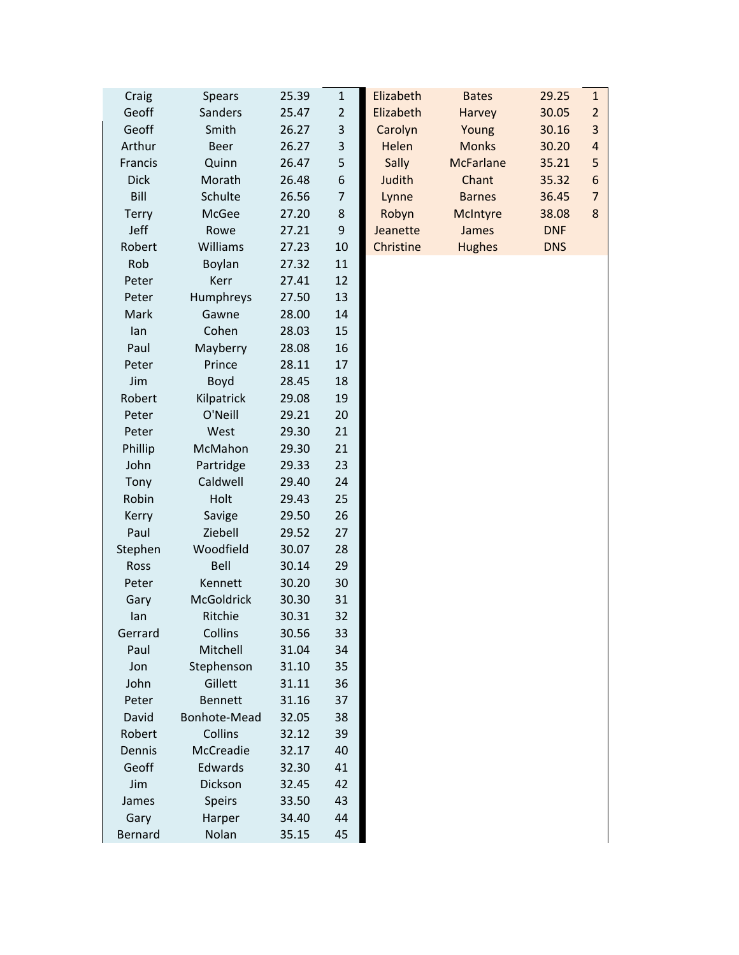| Craig       | <b>Spears</b>  | 25.39 | $\mathbf{1}$     | Elizabeth | <b>Bates</b>     | 29.25      | $\mathbf{1}$     |
|-------------|----------------|-------|------------------|-----------|------------------|------------|------------------|
| Geoff       | Sanders        | 25.47 | $\overline{2}$   | Elizabeth | Harvey           | 30.05      | $\overline{2}$   |
| Geoff       | Smith          | 26.27 | $\mathsf 3$      | Carolyn   | Young            | 30.16      | $\overline{3}$   |
| Arthur      | <b>Beer</b>    | 26.27 | 3                | Helen     | <b>Monks</b>     | 30.20      | $\sqrt{4}$       |
| Francis     | Quinn          | 26.47 | 5                | Sally     | <b>McFarlane</b> | 35.21      | 5                |
| <b>Dick</b> | Morath         | 26.48 | $\boldsymbol{6}$ | Judith    | Chant            | 35.32      | $\boldsymbol{6}$ |
| Bill        | Schulte        | 26.56 | $\overline{7}$   | Lynne     | <b>Barnes</b>    | 36.45      | $\overline{7}$   |
| Terry       | McGee          | 27.20 | 8                | Robyn     | McIntyre         | 38.08      | 8                |
| Jeff        | Rowe           | 27.21 | $\mathsf 9$      | Jeanette  | James            | <b>DNF</b> |                  |
| Robert      | Williams       | 27.23 | 10               | Christine | <b>Hughes</b>    | <b>DNS</b> |                  |
| Rob         | Boylan         | 27.32 | 11               |           |                  |            |                  |
| Peter       | Kerr           | 27.41 | 12               |           |                  |            |                  |
| Peter       | Humphreys      | 27.50 | 13               |           |                  |            |                  |
| Mark        | Gawne          | 28.00 | 14               |           |                  |            |                  |
| lan         | Cohen          | 28.03 | 15               |           |                  |            |                  |
| Paul        | Mayberry       | 28.08 | 16               |           |                  |            |                  |
| Peter       | Prince         | 28.11 | 17               |           |                  |            |                  |
| Jim         | Boyd           | 28.45 | 18               |           |                  |            |                  |
| Robert      | Kilpatrick     | 29.08 | 19               |           |                  |            |                  |
| Peter       | O'Neill        | 29.21 | 20               |           |                  |            |                  |
| Peter       | West           | 29.30 | 21               |           |                  |            |                  |
| Phillip     | McMahon        | 29.30 | 21               |           |                  |            |                  |
| John        | Partridge      | 29.33 | 23               |           |                  |            |                  |
| Tony        | Caldwell       | 29.40 | 24               |           |                  |            |                  |
| Robin       | Holt           | 29.43 | 25               |           |                  |            |                  |
| Kerry       | Savige         | 29.50 | 26               |           |                  |            |                  |
| Paul        | Ziebell        | 29.52 | 27               |           |                  |            |                  |
| Stephen     | Woodfield      | 30.07 | 28               |           |                  |            |                  |
| Ross        | Bell           | 30.14 | 29               |           |                  |            |                  |
| Peter       | Kennett        | 30.20 | 30               |           |                  |            |                  |
| Gary        | McGoldrick     | 30.30 | 31               |           |                  |            |                  |
| lan         | Ritchie        | 30.31 | 32               |           |                  |            |                  |
| Gerrard     | Collins        | 30.56 | 33               |           |                  |            |                  |
| Paul        | Mitchell       | 31.04 | 34               |           |                  |            |                  |
| Jon         | Stephenson     | 31.10 | 35               |           |                  |            |                  |
| John        | Gillett        | 31.11 | 36               |           |                  |            |                  |
| Peter       | <b>Bennett</b> | 31.16 | 37               |           |                  |            |                  |
| David       | Bonhote-Mead   | 32.05 | 38               |           |                  |            |                  |
| Robert      | Collins        | 32.12 | 39               |           |                  |            |                  |
| Dennis      | McCreadie      | 32.17 | 40               |           |                  |            |                  |
| Geoff       | Edwards        | 32.30 | 41               |           |                  |            |                  |
| Jim         | Dickson        | 32.45 | 42               |           |                  |            |                  |
| James       | <b>Speirs</b>  | 33.50 | 43               |           |                  |            |                  |
| Gary        | Harper         | 34.40 | 44               |           |                  |            |                  |
| Bernard     | Nolan          | 35.15 | 45               |           |                  |            |                  |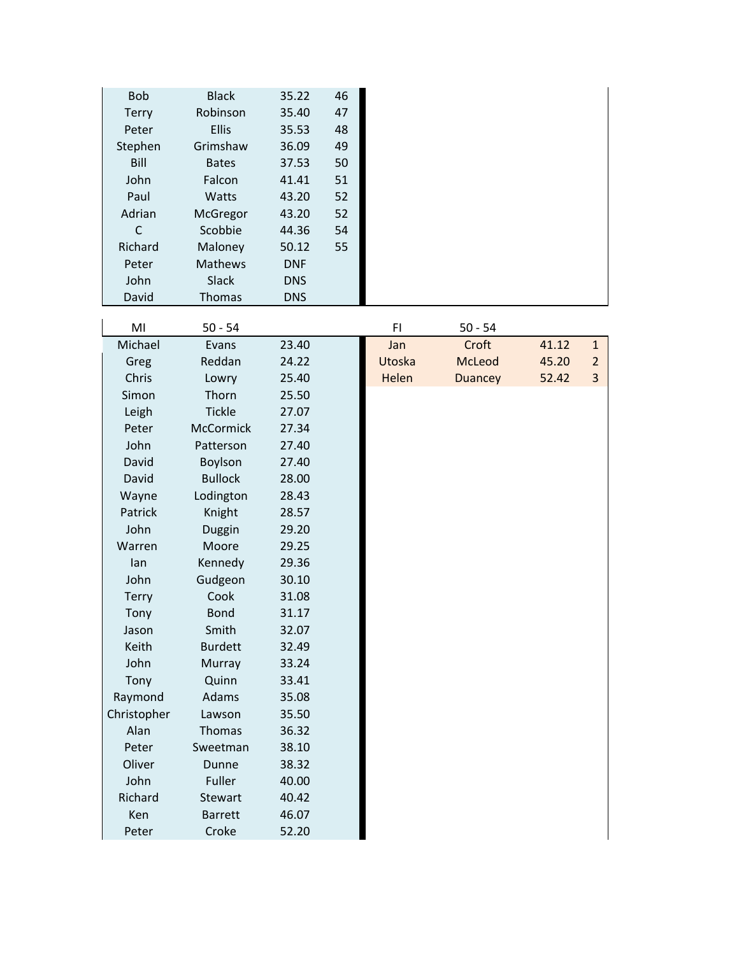| <b>Bob</b><br>Terry<br>Peter<br>Stephen<br>Bill<br>John<br>Paul<br>Adrian<br>$\mathsf{C}$<br>Richard<br>Peter<br>John<br>David | <b>Black</b><br>Robinson<br><b>Ellis</b><br>Grimshaw<br><b>Bates</b><br>Falcon<br>Watts<br>McGregor<br>Scobbie<br>Maloney<br>Mathews<br><b>Slack</b><br>Thomas | 35.22<br>35.40<br>35.53<br>36.09<br>37.53<br>41.41<br>43.20<br>43.20<br>44.36<br>50.12<br><b>DNF</b><br><b>DNS</b><br><b>DNS</b> | 46<br>47<br>48<br>49<br>50<br>51<br>52<br>52<br>54<br>55 |        |                |       |                |
|--------------------------------------------------------------------------------------------------------------------------------|----------------------------------------------------------------------------------------------------------------------------------------------------------------|----------------------------------------------------------------------------------------------------------------------------------|----------------------------------------------------------|--------|----------------|-------|----------------|
| MI                                                                                                                             | $50 - 54$                                                                                                                                                      |                                                                                                                                  |                                                          | F1     | $50 - 54$      |       |                |
| Michael                                                                                                                        | Evans                                                                                                                                                          | 23.40                                                                                                                            |                                                          | Jan    | Croft          | 41.12 | $\mathbf{1}$   |
| Greg                                                                                                                           | Reddan                                                                                                                                                         | 24.22                                                                                                                            |                                                          | Utoska | McLeod         | 45.20 | $\overline{2}$ |
| Chris                                                                                                                          | Lowry                                                                                                                                                          | 25.40                                                                                                                            |                                                          | Helen  | <b>Duancey</b> | 52.42 | 3              |
| Simon                                                                                                                          | Thorn                                                                                                                                                          | 25.50                                                                                                                            |                                                          |        |                |       |                |
| Leigh                                                                                                                          | <b>Tickle</b>                                                                                                                                                  | 27.07                                                                                                                            |                                                          |        |                |       |                |
| Peter                                                                                                                          | <b>McCormick</b>                                                                                                                                               | 27.34                                                                                                                            |                                                          |        |                |       |                |
| John                                                                                                                           | Patterson                                                                                                                                                      | 27.40                                                                                                                            |                                                          |        |                |       |                |
| David                                                                                                                          | Boylson                                                                                                                                                        | 27.40                                                                                                                            |                                                          |        |                |       |                |
| David                                                                                                                          | <b>Bullock</b>                                                                                                                                                 | 28.00                                                                                                                            |                                                          |        |                |       |                |
| Wayne                                                                                                                          | Lodington                                                                                                                                                      | 28.43                                                                                                                            |                                                          |        |                |       |                |
| Patrick                                                                                                                        | Knight                                                                                                                                                         | 28.57                                                                                                                            |                                                          |        |                |       |                |
| John                                                                                                                           | Duggin                                                                                                                                                         | 29.20                                                                                                                            |                                                          |        |                |       |                |
| Warren                                                                                                                         | Moore                                                                                                                                                          | 29.25                                                                                                                            |                                                          |        |                |       |                |
| lan                                                                                                                            | Kennedy                                                                                                                                                        | 29.36                                                                                                                            |                                                          |        |                |       |                |
| John                                                                                                                           | Gudgeon                                                                                                                                                        | 30.10                                                                                                                            |                                                          |        |                |       |                |
| Terry                                                                                                                          | Cook                                                                                                                                                           | 31.08                                                                                                                            |                                                          |        |                |       |                |
| Tony                                                                                                                           | <b>Bond</b>                                                                                                                                                    | 31.17<br>32.07                                                                                                                   |                                                          |        |                |       |                |
| Jason<br>Keith                                                                                                                 | Smith<br><b>Burdett</b>                                                                                                                                        | 32.49                                                                                                                            |                                                          |        |                |       |                |
| John                                                                                                                           | Murray                                                                                                                                                         | 33.24                                                                                                                            |                                                          |        |                |       |                |
| Tony                                                                                                                           | Quinn                                                                                                                                                          | 33.41                                                                                                                            |                                                          |        |                |       |                |
| Raymond                                                                                                                        | Adams                                                                                                                                                          | 35.08                                                                                                                            |                                                          |        |                |       |                |
| Christopher                                                                                                                    | Lawson                                                                                                                                                         | 35.50                                                                                                                            |                                                          |        |                |       |                |
| Alan                                                                                                                           | Thomas                                                                                                                                                         | 36.32                                                                                                                            |                                                          |        |                |       |                |
| Peter                                                                                                                          | Sweetman                                                                                                                                                       | 38.10                                                                                                                            |                                                          |        |                |       |                |
| Oliver                                                                                                                         | Dunne                                                                                                                                                          | 38.32                                                                                                                            |                                                          |        |                |       |                |
| John                                                                                                                           | Fuller                                                                                                                                                         | 40.00                                                                                                                            |                                                          |        |                |       |                |
| Richard                                                                                                                        | Stewart                                                                                                                                                        | 40.42                                                                                                                            |                                                          |        |                |       |                |
| Ken                                                                                                                            | <b>Barrett</b>                                                                                                                                                 | 46.07                                                                                                                            |                                                          |        |                |       |                |
| Peter                                                                                                                          | Croke                                                                                                                                                          | 52.20                                                                                                                            |                                                          |        |                |       |                |

 $\mathbf{I}$